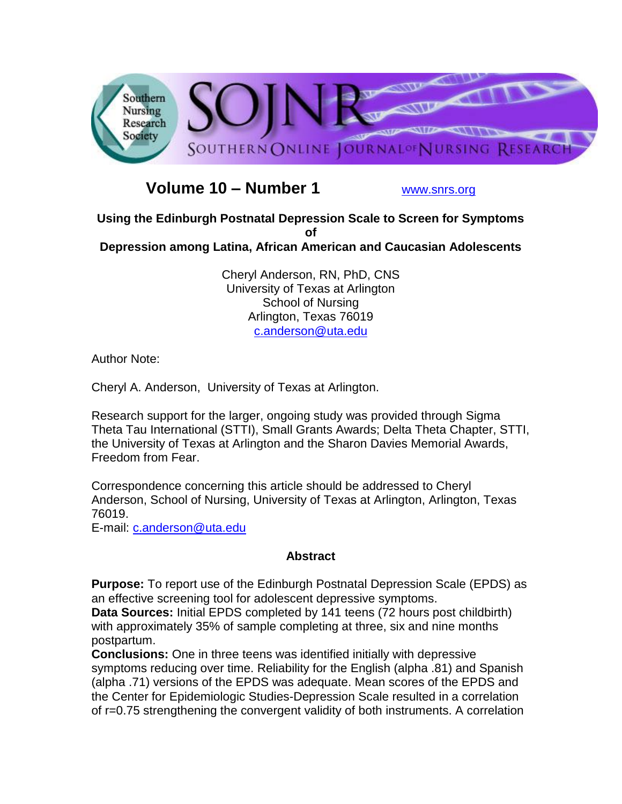

# **Volume 10 – Number 1** [www.snrs.org](http://www.snrs.org/)

**Using the Edinburgh Postnatal Depression Scale to Screen for Symptoms of Depression among Latina, African American and Caucasian Adolescents** 

> Cheryl Anderson, RN, PhD, CNS University of Texas at Arlington School of Nursing Arlington, Texas 76019 [c.anderson@uta.edu](mailto:c.anderson@uta.edu)

Author Note:

Cheryl A. Anderson, University of Texas at Arlington.

Research support for the larger, ongoing study was provided through Sigma Theta Tau International (STTI), Small Grants Awards; Delta Theta Chapter, STTI, the University of Texas at Arlington and the Sharon Davies Memorial Awards, Freedom from Fear.

Correspondence concerning this article should be addressed to Cheryl Anderson, School of Nursing, University of Texas at Arlington, Arlington, Texas 76019.

E-mail: [c.anderson@uta.edu](mailto:c.anderson@uta.edu)

## **Abstract**

**Purpose:** To report use of the Edinburgh Postnatal Depression Scale (EPDS) as an effective screening tool for adolescent depressive symptoms.

**Data Sources:** Initial EPDS completed by 141 teens (72 hours post childbirth) with approximately 35% of sample completing at three, six and nine months postpartum.

**Conclusions:** One in three teens was identified initially with depressive symptoms reducing over time. Reliability for the English (alpha .81) and Spanish (alpha .71) versions of the EPDS was adequate. Mean scores of the EPDS and the Center for Epidemiologic Studies-Depression Scale resulted in a correlation of r=0.75 strengthening the convergent validity of both instruments. A correlation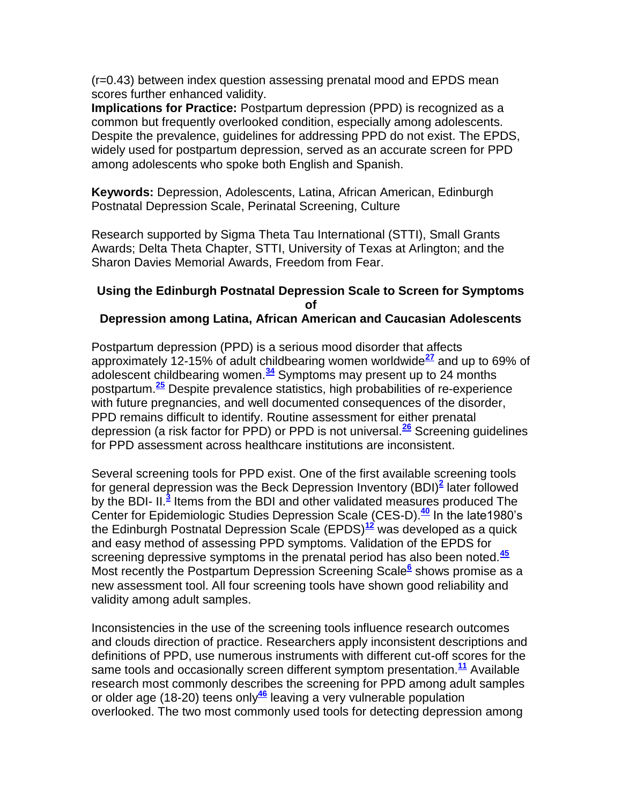(r=0.43) between index question assessing prenatal mood and EPDS mean scores further enhanced validity.

**Implications for Practice:** Postpartum depression (PPD) is recognized as a common but frequently overlooked condition, especially among adolescents. Despite the prevalence, guidelines for addressing PPD do not exist. The EPDS, widely used for postpartum depression, served as an accurate screen for PPD among adolescents who spoke both English and Spanish.

**Keywords:** Depression, Adolescents, Latina, African American, Edinburgh Postnatal Depression Scale, Perinatal Screening, Culture

Research supported by Sigma Theta Tau International (STTI), Small Grants Awards; Delta Theta Chapter, STTI, University of Texas at Arlington; and the Sharon Davies Memorial Awards, Freedom from Fear.

#### **Using the Edinburgh Postnatal Depression Scale to Screen for Symptoms of Depression among Latina, African American and Caucasian Adolescents**

Postpartum depression (PPD) is a serious mood disorder that affects approximately 12-15% of adult childbearing women worldwide**[27](http://snrs.org/publications/SOJNR_articles2/n)** and up to 69% of adolescent childbearing women.**[34](http://snrs.org/publications/SOJNR_articles2/n)** Symptoms may present up to 24 months postpartum.**[25](http://snrs.org/publications/SOJNR_articles2/n)** Despite prevalence statistics, high probabilities of re-experience with future pregnancies, and well documented consequences of the disorder, PPD remains difficult to identify. Routine assessment for either prenatal depression (a risk factor for PPD) or PPD is not universal.**[26](http://snrs.org/publications/SOJNR_articles2/n)** Screening guidelines for PPD assessment across healthcare institutions are inconsistent.

Several screening tools for PPD exist. One of the first available screening tools for general depression was the Beck Depression Inventory (BDI)**[2](http://snrs.org/publications/SOJNR_articles2/n)** later followed by the BDI- II.<sup>[3](http://snrs.org/publications/SOJNR_articles2/n)</sup> Items from the BDI and other validated measures produced The Center for Epidemiologic Studies Depression Scale (CES-D).**[40](http://snrs.org/publications/SOJNR_articles2/n)** In the late1980's the Edinburgh Postnatal Depression Scale (EPDS)**[12](http://snrs.org/publications/SOJNR_articles2/n)** was developed as a quick and easy method of assessing PPD symptoms. Validation of the EPDS for screening depressive symptoms in the prenatal period has also been noted.**[45](http://snrs.org/publications/SOJNR_articles2/n)** Most recently the Postpartum Depression Screening Scale**[6](http://snrs.org/publications/SOJNR_articles2/n)** shows promise as a new assessment tool. All four screening tools have shown good reliability and validity among adult samples.

Inconsistencies in the use of the screening tools influence research outcomes and clouds direction of practice. Researchers apply inconsistent descriptions and definitions of PPD, use numerous instruments with different cut-off scores for the same tools and occasionally screen different symptom presentation.**[11](http://snrs.org/publications/SOJNR_articles2/n)** Available research most commonly describes the screening for PPD among adult samples or older age (18-20) teens only**[46](http://snrs.org/publications/SOJNR_articles2/n)** leaving a very vulnerable population overlooked. The two most commonly used tools for detecting depression among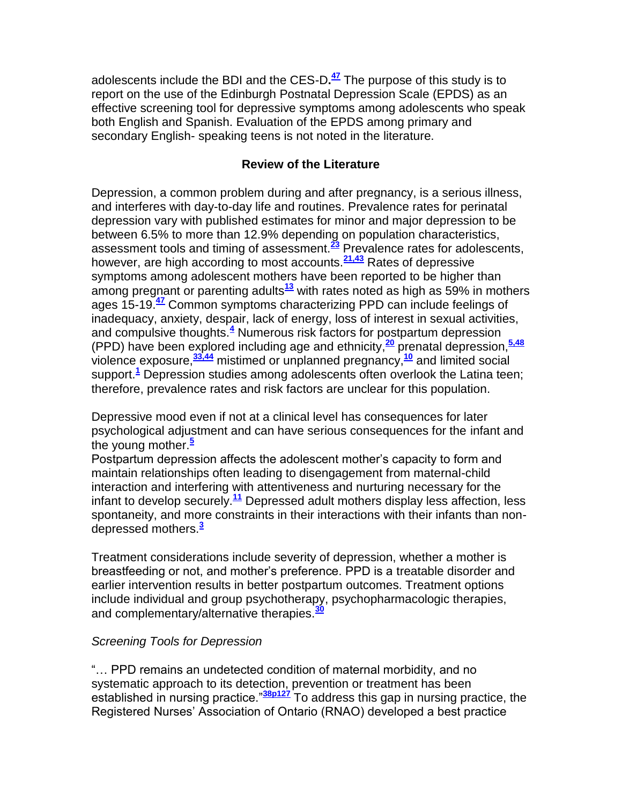adolescents include the BDI and the CES-D**. [47](http://snrs.org/publications/SOJNR_articles2/n)** The purpose of this study is to report on the use of the Edinburgh Postnatal Depression Scale (EPDS) as an effective screening tool for depressive symptoms among adolescents who speak both English and Spanish. Evaluation of the EPDS among primary and secondary English- speaking teens is not noted in the literature.

## **Review of the Literature**

Depression, a common problem during and after pregnancy, is a serious illness, and interferes with day-to-day life and routines. Prevalence rates for perinatal depression vary with published estimates for minor and major depression to be between 6.5% to more than 12.9% depending on population characteristics, assessment tools and timing of assessment.**[23](http://snrs.org/publications/SOJNR_articles2/n)** Prevalence rates for adolescents, however, are high according to most accounts.**[21,43](http://snrs.org/publications/SOJNR_articles2/n)** Rates of depressive symptoms among adolescent mothers have been reported to be higher than among pregnant or parenting adults**[13](http://snrs.org/publications/SOJNR_articles2/n)** with rates noted as high as 59% in mothers ages 15-19.**[47](http://snrs.org/publications/SOJNR_articles2/n)** Common symptoms characterizing PPD can include feelings of inadequacy, anxiety, despair, lack of energy, loss of interest in sexual activities, and compulsive thoughts.**[4](http://snrs.org/publications/SOJNR_articles2/n)** Numerous risk factors for postpartum depression (PPD) have been explored including age and ethnicity, **[20](http://snrs.org/publications/SOJNR_articles2/n)** prenatal depression,**[5,48](http://snrs.org/publications/SOJNR_articles2/n)** violence exposure,**[33,44](http://snrs.org/publications/SOJNR_articles2/n)** mistimed or unplanned pregnancy,**[10](http://snrs.org/publications/SOJNR_articles2/n)** and limited social support.**[1](http://snrs.org/publications/SOJNR_articles2/n)** Depression studies among adolescents often overlook the Latina teen; therefore, prevalence rates and risk factors are unclear for this population.

Depressive mood even if not at a clinical level has consequences for later psychological adjustment and can have serious consequences for the infant and the young mother.**[5](http://snrs.org/publications/SOJNR_articles2/n)**

Postpartum depression affects the adolescent mother's capacity to form and maintain relationships often leading to disengagement from maternal-child interaction and interfering with attentiveness and nurturing necessary for the infant to develop securely.**[11](http://snrs.org/publications/SOJNR_articles2/n)** Depressed adult mothers display less affection, less spontaneity, and more constraints in their interactions with their infants than nondepressed mothers.**[3](http://snrs.org/publications/SOJNR_articles2/n)**

Treatment considerations include severity of depression, whether a mother is breastfeeding or not, and mother's preference. PPD is a treatable disorder and earlier intervention results in better postpartum outcomes. Treatment options include individual and group psychotherapy, psychopharmacologic therapies, and complementary/alternative therapies.**[30](http://snrs.org/publications/SOJNR_articles2/n)**

## *Screening Tools for Depression*

"… PPD remains an undetected condition of maternal morbidity, and no systematic approach to its detection, prevention or treatment has been established in nursing practice."**[38p127](http://snrs.org/publications/SOJNR_articles2/n)** To address this gap in nursing practice, the Registered Nurses' Association of Ontario (RNAO) developed a best practice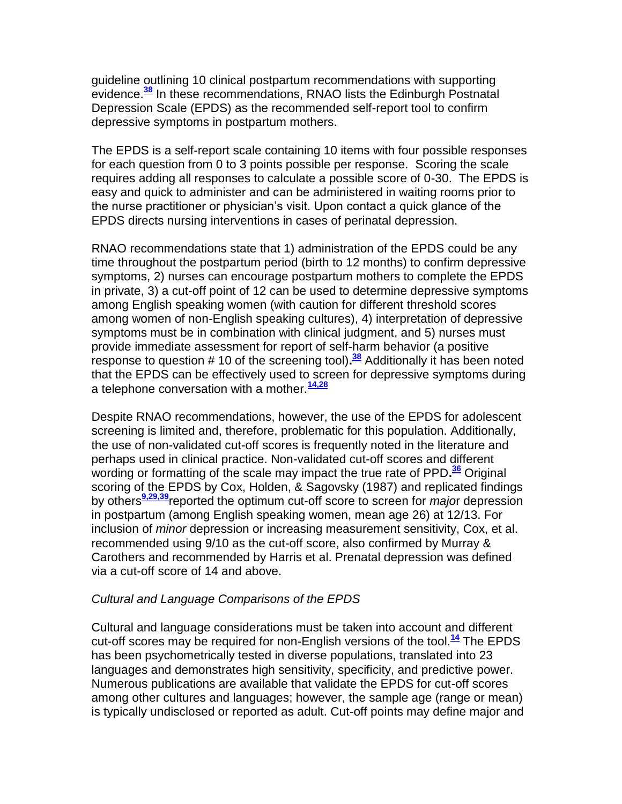guideline outlining 10 clinical postpartum recommendations with supporting evidence.**[38](http://snrs.org/publications/SOJNR_articles2/n)** In these recommendations, RNAO lists the Edinburgh Postnatal Depression Scale (EPDS) as the recommended self-report tool to confirm depressive symptoms in postpartum mothers.

The EPDS is a self-report scale containing 10 items with four possible responses for each question from 0 to 3 points possible per response. Scoring the scale requires adding all responses to calculate a possible score of 0-30. The EPDS is easy and quick to administer and can be administered in waiting rooms prior to the nurse practitioner or physician's visit. Upon contact a quick glance of the EPDS directs nursing interventions in cases of perinatal depression.

RNAO recommendations state that 1) administration of the EPDS could be any time throughout the postpartum period (birth to 12 months) to confirm depressive symptoms, 2) nurses can encourage postpartum mothers to complete the EPDS in private, 3) a cut-off point of 12 can be used to determine depressive symptoms among English speaking women (with caution for different threshold scores among women of non-English speaking cultures), 4) interpretation of depressive symptoms must be in combination with clinical judgment, and 5) nurses must provide immediate assessment for report of self-harm behavior (a positive response to question # 10 of the screening tool)**. [38](http://snrs.org/publications/SOJNR_articles2/n)** Additionally it has been noted that the EPDS can be effectively used to screen for depressive symptoms during a telephone conversation with a mother.**[14,28](http://snrs.org/publications/SOJNR_articles2/n)**

Despite RNAO recommendations, however, the use of the EPDS for adolescent screening is limited and, therefore, problematic for this population. Additionally, the use of non-validated cut-off scores is frequently noted in the literature and perhaps used in clinical practice. Non-validated cut-off scores and different wording or formatting of the scale may impact the true rate of PPD**. [36](http://snrs.org/publications/SOJNR_articles2/n)** Original scoring of the EPDS by Cox, Holden, & Sagovsky (1987) and replicated findings by others**[9,29,39](http://snrs.org/publications/SOJNR_articles2/n)**reported the optimum cut-off score to screen for *majo*r depression in postpartum (among English speaking women, mean age 26) at 12/13. For inclusion of *minor* depression or increasing measurement sensitivity, Cox, et al. recommended using 9/10 as the cut-off score, also confirmed by Murray & Carothers and recommended by Harris et al. Prenatal depression was defined via a cut-off score of 14 and above.

## *Cultural and Language Comparisons of the EPDS*

Cultural and language considerations must be taken into account and different cut-off scores may be required for non-English versions of the tool.**[14](http://snrs.org/publications/SOJNR_articles2/n)** The EPDS has been psychometrically tested in diverse populations, translated into 23 languages and demonstrates high sensitivity, specificity, and predictive power. Numerous publications are available that validate the EPDS for cut-off scores among other cultures and languages; however, the sample age (range or mean) is typically undisclosed or reported as adult. Cut-off points may define major and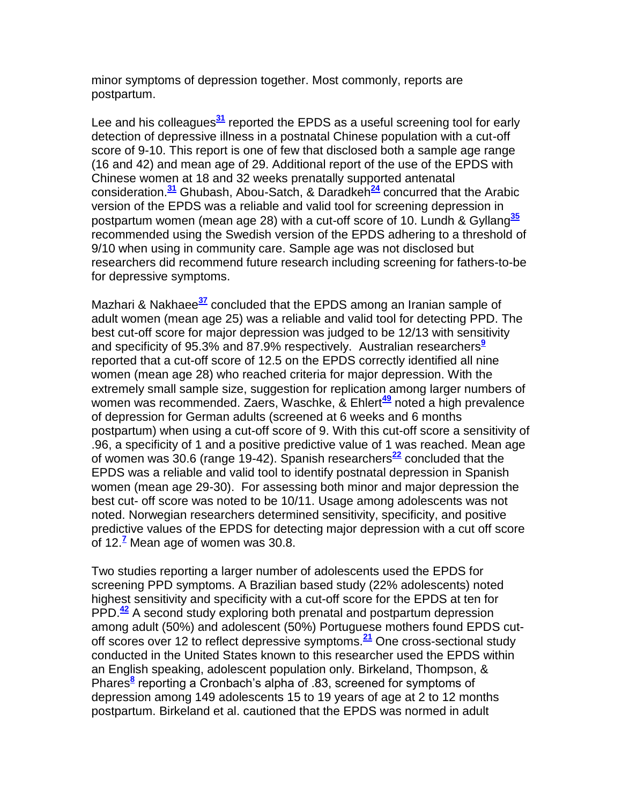minor symptoms of depression together. Most commonly, reports are postpartum.

Lee and his colleagues**[31](http://snrs.org/publications/SOJNR_articles2/n)** reported the EPDS as a useful screening tool for early detection of depressive illness in a postnatal Chinese population with a cut-off score of 9-10. This report is one of few that disclosed both a sample age range (16 and 42) and mean age of 29. Additional report of the use of the EPDS with Chinese women at 18 and 32 weeks prenatally supported antenatal consideration.**[31](http://snrs.org/publications/SOJNR_articles2/n)** Ghubash, Abou-Satch, & Daradkeh**[24](http://snrs.org/publications/SOJNR_articles2/n)** concurred that the Arabic version of the EPDS was a reliable and valid tool for screening depression in postpartum women (mean age 28) with a cut-off score of 10. Lundh & Gyllang**[35](http://snrs.org/publications/SOJNR_articles2/n)** recommended using the Swedish version of the EPDS adhering to a threshold of 9/10 when using in community care. Sample age was not disclosed but researchers did recommend future research including screening for fathers-to-be for depressive symptoms.

Mazhari & Nakhaee**[37](http://snrs.org/publications/SOJNR_articles2/n)** concluded that the EPDS among an Iranian sample of adult women (mean age 25) was a reliable and valid tool for detecting PPD. The best cut-off score for major depression was judged to be 12/13 with sensitivity and specificity of 95.3% and 87.9% respectively. Australian researcher[s](http://snrs.org/publications/SOJNR_articles2/n)**<sup>9</sup>** reported that a cut-off score of 12.5 on the EPDS correctly identified all nine women (mean age 28) who reached criteria for major depression. With the extremely small sample size, suggestion for replication among larger numbers of women was recommended. Zaers, Waschke, & Ehlert<sup>[49](http://snrs.org/publications/SOJNR_articles2/n)</sup> noted a high prevalence of depression for German adults (screened at 6 weeks and 6 months postpartum) when using a cut-off score of 9. With this cut-off score a sensitivity of .96, a specificity of 1 and a positive predictive value of 1 was reached. Mean age of women was 30.6 (range 19-42). Spanish researchers**[22](http://snrs.org/publications/SOJNR_articles2/n)** concluded that the EPDS was a reliable and valid tool to identify postnatal depression in Spanish women (mean age 29-30). For assessing both minor and major depression the best cut- off score was noted to be 10/11. Usage among adolescents was not noted. Norwegian researchers determined sensitivity, specificity, and positive predictive values of the EPDS for detecting major depression with a cut off score of 12.**[7](http://snrs.org/publications/SOJNR_articles2/n)** Mean age of women was 30.8.

Two studies reporting a larger number of adolescents used the EPDS for screening PPD symptoms. A Brazilian based study (22% adolescents) noted highest sensitivity and specificity with a cut-off score for the EPDS at ten for PPD.**[42](http://snrs.org/publications/SOJNR_articles2/n)** A second study exploring both prenatal and postpartum depression among adult (50%) and adolescent (50%) Portuguese mothers found EPDS cutoff scores over 12 to reflect depressive symptoms.**[21](http://snrs.org/publications/SOJNR_articles2/n)** One cross-sectional study conducted in the United States known to this researcher used the EPDS within an English speaking, adolescent population only. Birkeland, Thompson, & Phares<sup>[8](http://snrs.org/publications/SOJNR_articles2/n)</sup> reporting a Cronbach's alpha of .83, screened for symptoms of depression among 149 adolescents 15 to 19 years of age at 2 to 12 months postpartum. Birkeland et al. cautioned that the EPDS was normed in adult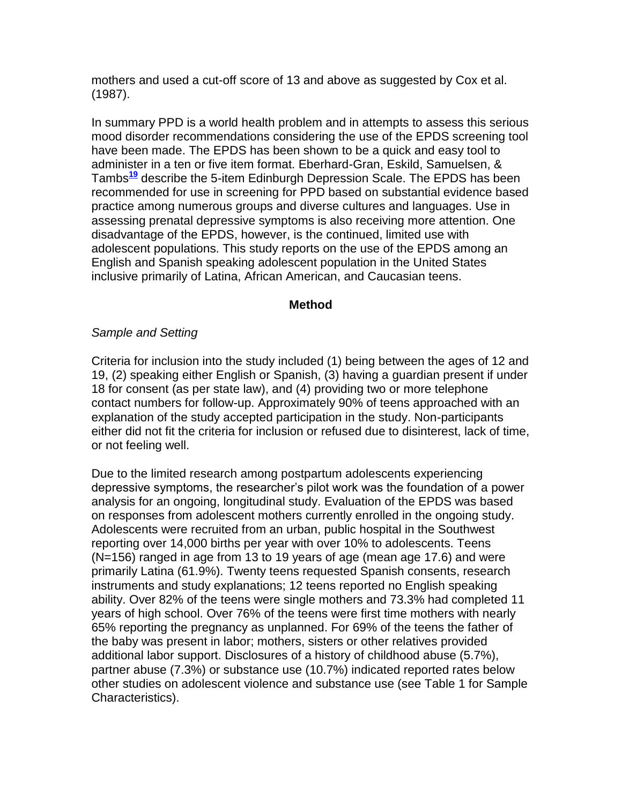mothers and used a cut-off score of 13 and above as suggested by Cox et al. (1987).

In summary PPD is a world health problem and in attempts to assess this serious mood disorder recommendations considering the use of the EPDS screening tool have been made. The EPDS has been shown to be a quick and easy tool to administer in a ten or five item format. Eberhard-Gran, Eskild, Samuelsen, & Tambs**[19](http://snrs.org/publications/SOJNR_articles2/n)** describe the 5-item Edinburgh Depression Scale. The EPDS has been recommended for use in screening for PPD based on substantial evidence based practice among numerous groups and diverse cultures and languages. Use in assessing prenatal depressive symptoms is also receiving more attention. One disadvantage of the EPDS, however, is the continued, limited use with adolescent populations. This study reports on the use of the EPDS among an English and Spanish speaking adolescent population in the United States inclusive primarily of Latina, African American, and Caucasian teens.

#### **Method**

#### *Sample and Setting*

Criteria for inclusion into the study included (1) being between the ages of 12 and 19, (2) speaking either English or Spanish, (3) having a guardian present if under 18 for consent (as per state law), and (4) providing two or more telephone contact numbers for follow-up. Approximately 90% of teens approached with an explanation of the study accepted participation in the study. Non-participants either did not fit the criteria for inclusion or refused due to disinterest, lack of time, or not feeling well.

Due to the limited research among postpartum adolescents experiencing depressive symptoms, the researcher's pilot work was the foundation of a power analysis for an ongoing, longitudinal study. Evaluation of the EPDS was based on responses from adolescent mothers currently enrolled in the ongoing study. Adolescents were recruited from an urban, public hospital in the Southwest reporting over 14,000 births per year with over 10% to adolescents. Teens (N=156) ranged in age from 13 to 19 years of age (mean age 17.6) and were primarily Latina (61.9%). Twenty teens requested Spanish consents, research instruments and study explanations; 12 teens reported no English speaking ability. Over 82% of the teens were single mothers and 73.3% had completed 11 years of high school. Over 76% of the teens were first time mothers with nearly 65% reporting the pregnancy as unplanned. For 69% of the teens the father of the baby was present in labor; mothers, sisters or other relatives provided additional labor support. Disclosures of a history of childhood abuse (5.7%), partner abuse (7.3%) or substance use (10.7%) indicated reported rates below other studies on adolescent violence and substance use (see Table 1 for Sample Characteristics).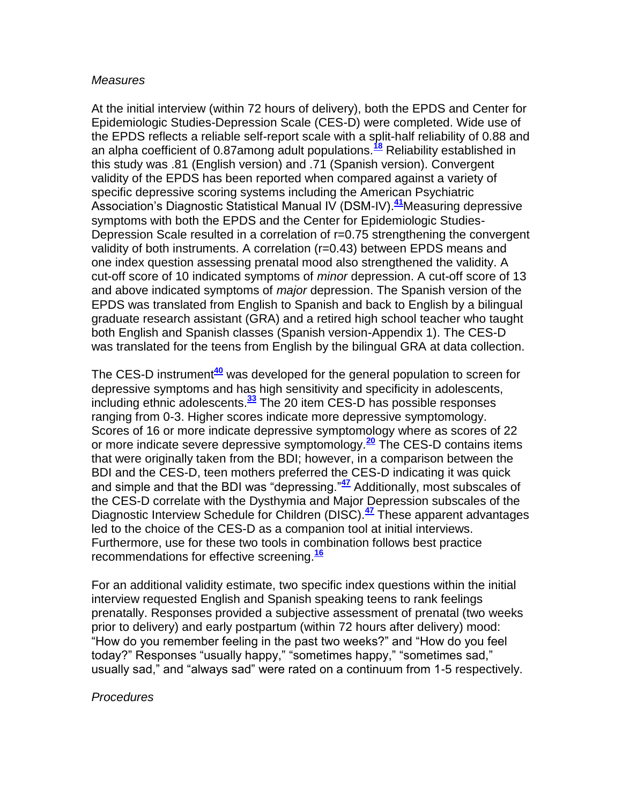#### *Measures*

At the initial interview (within 72 hours of delivery), both the EPDS and Center for Epidemiologic Studies-Depression Scale (CES-D) were completed. Wide use of the EPDS reflects a reliable self-report scale with a split-half reliability of 0.88 and an alpha coefficient of 0.87among adult populations.**[18](http://snrs.org/publications/SOJNR_articles2/n)** Reliability established in this study was .81 (English version) and .71 (Spanish version). Convergent validity of the EPDS has been reported when compared against a variety of specific depressive scoring systems including the American Psychiatric Association's Diagnostic Statistical Manual IV (DSM-IV). **[41](http://snrs.org/publications/SOJNR_articles2/n)**Measuring depressive symptoms with both the EPDS and the Center for Epidemiologic Studies-Depression Scale resulted in a correlation of r=0.75 strengthening the convergent validity of both instruments. A correlation (r=0.43) between EPDS means and one index question assessing prenatal mood also strengthened the validity. A cut-off score of 10 indicated symptoms of *minor* depression. A cut-off score of 13 and above indicated symptoms of *major* depression. The Spanish version of the EPDS was translated from English to Spanish and back to English by a bilingual graduate research assistant (GRA) and a retired high school teacher who taught both English and Spanish classes (Spanish version-Appendix 1). The CES-D was translated for the teens from English by the bilingual GRA at data collection.

The CES-D instrument**[40](http://snrs.org/publications/SOJNR_articles2/n)** was developed for the general population to screen for depressive symptoms and has high sensitivity and specificity in adolescents, including ethnic adolescents.**[33](http://snrs.org/publications/SOJNR_articles2/n)** The 20 item CES-D has possible responses ranging from 0-3. Higher scores indicate more depressive symptomology. Scores of 16 or more indicate depressive symptomology where as scores of 22 or more indicate severe depressive symptomology.**[20](http://snrs.org/publications/SOJNR_articles2/n)** The CES-D contains items that were originally taken from the BDI; however, in a comparison between the BDI and the CES-D, teen mothers preferred the CES-D indicating it was quick and simple and that the BDI was "depressing."**[47](http://snrs.org/publications/SOJNR_articles2/n)** Additionally, most subscales of the CES-D correlate with the Dysthymia and Major Depression subscales of the Diagnostic Interview Schedule for Children (DISC).**[47](http://snrs.org/publications/SOJNR_articles2/n)** These apparent advantages led to the choice of the CES-D as a companion tool at initial interviews. Furthermore, use for these two tools in combination follows best practice recommendations for effective screening.**[16](http://snrs.org/publications/SOJNR_articles2/n)**

For an additional validity estimate, two specific index questions within the initial interview requested English and Spanish speaking teens to rank feelings prenatally. Responses provided a subjective assessment of prenatal (two weeks prior to delivery) and early postpartum (within 72 hours after delivery) mood: "How do you remember feeling in the past two weeks?" and "How do you feel today?" Responses "usually happy," "sometimes happy," "sometimes sad," usually sad," and "always sad" were rated on a continuum from 1-5 respectively.

#### *Procedures*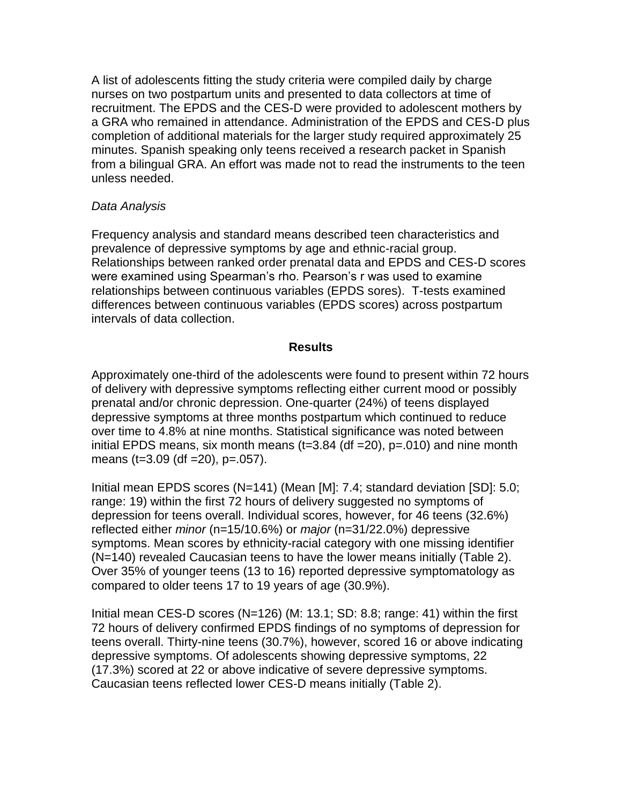A list of adolescents fitting the study criteria were compiled daily by charge nurses on two postpartum units and presented to data collectors at time of recruitment. The EPDS and the CES-D were provided to adolescent mothers by a GRA who remained in attendance. Administration of the EPDS and CES-D plus completion of additional materials for the larger study required approximately 25 minutes. Spanish speaking only teens received a research packet in Spanish from a bilingual GRA. An effort was made not to read the instruments to the teen unless needed.

## *Data Analysis*

Frequency analysis and standard means described teen characteristics and prevalence of depressive symptoms by age and ethnic-racial group. Relationships between ranked order prenatal data and EPDS and CES-D scores were examined using Spearman's rho. Pearson's r was used to examine relationships between continuous variables (EPDS sores). T-tests examined differences between continuous variables (EPDS scores) across postpartum intervals of data collection.

## **Results**

Approximately one-third of the adolescents were found to present within 72 hours of delivery with depressive symptoms reflecting either current mood or possibly prenatal and/or chronic depression. One-quarter (24%) of teens displayed depressive symptoms at three months postpartum which continued to reduce over time to 4.8% at nine months. Statistical significance was noted between initial EPDS means, six month means ( $t=3.84$  (df  $=20$ ),  $p=.010$ ) and nine month means (t=3.09 (df =20), p=.057).

Initial mean EPDS scores (N=141) (Mean [M]: 7.4; standard deviation [SD]: 5.0; range: 19) within the first 72 hours of delivery suggested no symptoms of depression for teens overall. Individual scores, however, for 46 teens (32.6%) reflected either *minor* (n=15/10.6%) or *major* (n=31/22.0%) depressive symptoms. Mean scores by ethnicity-racial category with one missing identifier (N=140) revealed Caucasian teens to have the lower means initially (Table 2). Over 35% of younger teens (13 to 16) reported depressive symptomatology as compared to older teens 17 to 19 years of age (30.9%).

Initial mean CES-D scores (N=126) (M: 13.1; SD: 8.8; range: 41) within the first 72 hours of delivery confirmed EPDS findings of no symptoms of depression for teens overall. Thirty-nine teens (30.7%), however, scored 16 or above indicating depressive symptoms. Of adolescents showing depressive symptoms, 22 (17.3%) scored at 22 or above indicative of severe depressive symptoms. Caucasian teens reflected lower CES-D means initially (Table 2).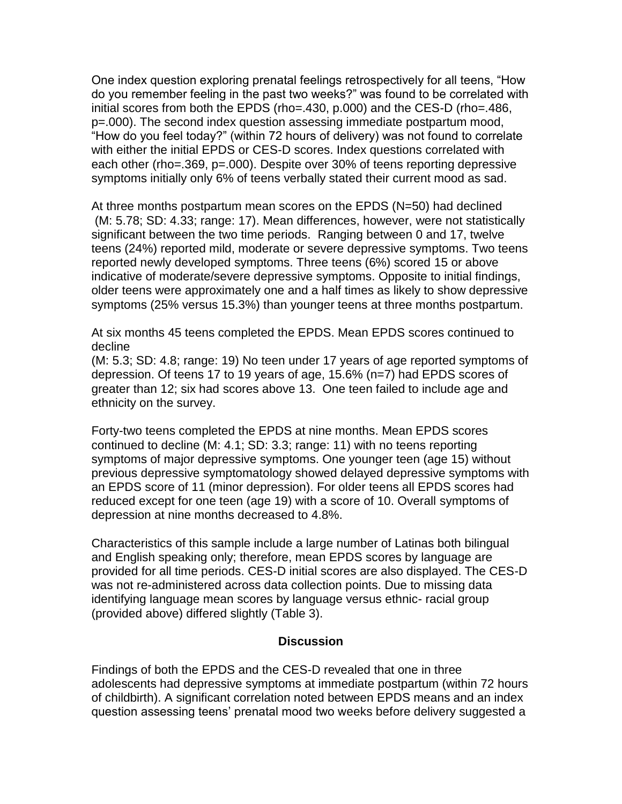One index question exploring prenatal feelings retrospectively for all teens, "How do you remember feeling in the past two weeks?" was found to be correlated with initial scores from both the EPDS (rho=.430, p.000) and the CES-D (rho=.486, p=.000). The second index question assessing immediate postpartum mood, "How do you feel today?" (within 72 hours of delivery) was not found to correlate with either the initial EPDS or CES-D scores. Index questions correlated with each other (rho=.369, p=.000). Despite over 30% of teens reporting depressive symptoms initially only 6% of teens verbally stated their current mood as sad.

At three months postpartum mean scores on the EPDS (N=50) had declined (M: 5.78; SD: 4.33; range: 17). Mean differences, however, were not statistically significant between the two time periods. Ranging between 0 and 17, twelve teens (24%) reported mild, moderate or severe depressive symptoms. Two teens reported newly developed symptoms. Three teens (6%) scored 15 or above indicative of moderate/severe depressive symptoms. Opposite to initial findings, older teens were approximately one and a half times as likely to show depressive symptoms (25% versus 15.3%) than younger teens at three months postpartum.

At six months 45 teens completed the EPDS. Mean EPDS scores continued to decline

(M: 5.3; SD: 4.8; range: 19) No teen under 17 years of age reported symptoms of depression. Of teens 17 to 19 years of age, 15.6% (n=7) had EPDS scores of greater than 12; six had scores above 13. One teen failed to include age and ethnicity on the survey.

Forty-two teens completed the EPDS at nine months. Mean EPDS scores continued to decline (M: 4.1; SD: 3.3; range: 11) with no teens reporting symptoms of major depressive symptoms. One younger teen (age 15) without previous depressive symptomatology showed delayed depressive symptoms with an EPDS score of 11 (minor depression). For older teens all EPDS scores had reduced except for one teen (age 19) with a score of 10. Overall symptoms of depression at nine months decreased to 4.8%.

Characteristics of this sample include a large number of Latinas both bilingual and English speaking only; therefore, mean EPDS scores by language are provided for all time periods. CES-D initial scores are also displayed. The CES-D was not re-administered across data collection points. Due to missing data identifying language mean scores by language versus ethnic- racial group (provided above) differed slightly (Table 3).

#### **Discussion**

Findings of both the EPDS and the CES-D revealed that one in three adolescents had depressive symptoms at immediate postpartum (within 72 hours of childbirth). A significant correlation noted between EPDS means and an index question assessing teens' prenatal mood two weeks before delivery suggested a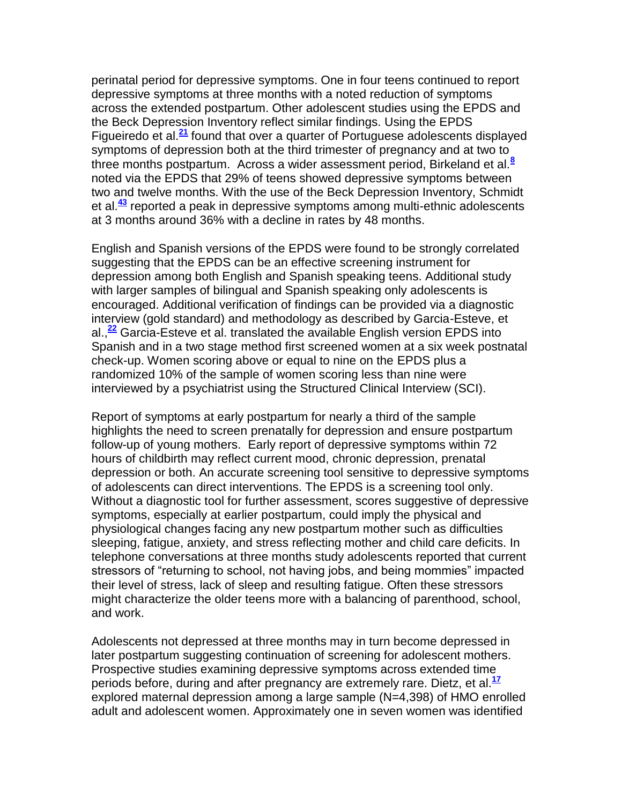perinatal period for depressive symptoms. One in four teens continued to report depressive symptoms at three months with a noted reduction of symptoms across the extended postpartum. Other adolescent studies using the EPDS and the Beck Depression Inventory reflect similar findings. Using the EPDS Figueiredo et al.**[21](http://snrs.org/publications/SOJNR_articles2/n)** found that over a quarter of Portuguese adolescents displayed symptoms of depression both at the third trimester of pregnancy and at two to three months postpartum. Across a wider assessment period, Birkeland et al.**[8](http://snrs.org/publications/SOJNR_articles2/n)** noted via the EPDS that 29% of teens showed depressive symptoms between two and twelve months. With the use of the Beck Depression Inventory, Schmidt et al.**[43](http://snrs.org/publications/SOJNR_articles2/n)** reported a peak in depressive symptoms among multi-ethnic adolescents at 3 months around 36% with a decline in rates by 48 months.

English and Spanish versions of the EPDS were found to be strongly correlated suggesting that the EPDS can be an effective screening instrument for depression among both English and Spanish speaking teens. Additional study with larger samples of bilingual and Spanish speaking only adolescents is encouraged. Additional verification of findings can be provided via a diagnostic interview (gold standard) and methodology as described by Garcia-Esteve, et al.,**[22](http://snrs.org/publications/SOJNR_articles2/n)** Garcia-Esteve et al. translated the available English version EPDS into Spanish and in a two stage method first screened women at a six week postnatal check-up. Women scoring above or equal to nine on the EPDS plus a randomized 10% of the sample of women scoring less than nine were interviewed by a psychiatrist using the Structured Clinical Interview (SCI).

Report of symptoms at early postpartum for nearly a third of the sample highlights the need to screen prenatally for depression and ensure postpartum follow-up of young mothers. Early report of depressive symptoms within 72 hours of childbirth may reflect current mood, chronic depression, prenatal depression or both. An accurate screening tool sensitive to depressive symptoms of adolescents can direct interventions. The EPDS is a screening tool only. Without a diagnostic tool for further assessment, scores suggestive of depressive symptoms, especially at earlier postpartum, could imply the physical and physiological changes facing any new postpartum mother such as difficulties sleeping, fatigue, anxiety, and stress reflecting mother and child care deficits. In telephone conversations at three months study adolescents reported that current stressors of "returning to school, not having jobs, and being mommies" impacted their level of stress, lack of sleep and resulting fatigue. Often these stressors might characterize the older teens more with a balancing of parenthood, school, and work.

Adolescents not depressed at three months may in turn become depressed in later postpartum suggesting continuation of screening for adolescent mothers. Prospective studies examining depressive symptoms across extended time periods before, during and after pregnancy are extremely rare. Dietz, et al.**[17](http://snrs.org/publications/SOJNR_articles2/n)** explored maternal depression among a large sample (N=4,398) of HMO enrolled adult and adolescent women. Approximately one in seven women was identified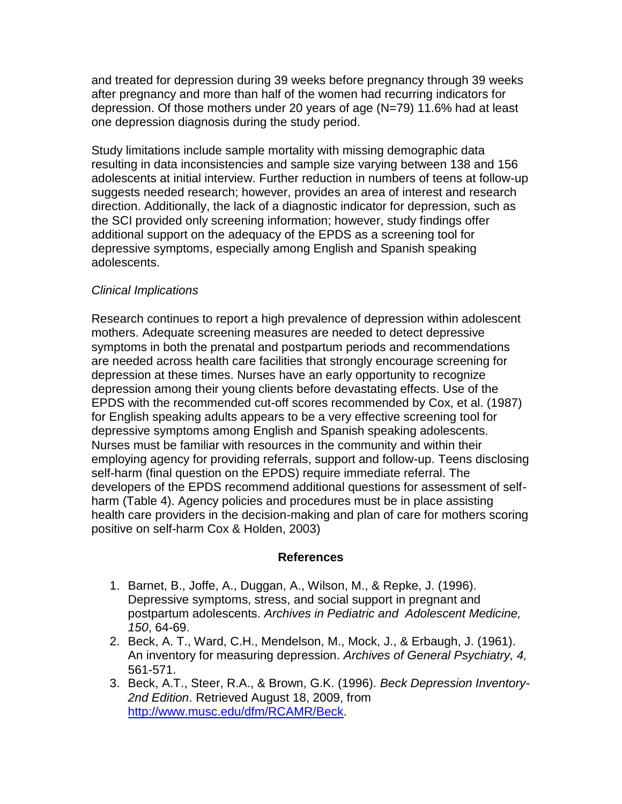and treated for depression during 39 weeks before pregnancy through 39 weeks after pregnancy and more than half of the women had recurring indicators for depression. Of those mothers under 20 years of age (N=79) 11.6% had at least one depression diagnosis during the study period.

Study limitations include sample mortality with missing demographic data resulting in data inconsistencies and sample size varying between 138 and 156 adolescents at initial interview. Further reduction in numbers of teens at follow-up suggests needed research; however, provides an area of interest and research direction. Additionally, the lack of a diagnostic indicator for depression, such as the SCI provided only screening information; however, study findings offer additional support on the adequacy of the EPDS as a screening tool for depressive symptoms, especially among English and Spanish speaking adolescents.

## *Clinical Implications*

Research continues to report a high prevalence of depression within adolescent mothers. Adequate screening measures are needed to detect depressive symptoms in both the prenatal and postpartum periods and recommendations are needed across health care facilities that strongly encourage screening for depression at these times. Nurses have an early opportunity to recognize depression among their young clients before devastating effects. Use of the EPDS with the recommended cut-off scores recommended by Cox, et al. (1987) for English speaking adults appears to be a very effective screening tool for depressive symptoms among English and Spanish speaking adolescents. Nurses must be familiar with resources in the community and within their employing agency for providing referrals, support and follow-up. Teens disclosing self-harm (final question on the EPDS) require immediate referral. The developers of the EPDS recommend additional questions for assessment of selfharm (Table 4). Agency policies and procedures must be in place assisting health care providers in the decision-making and plan of care for mothers scoring positive on self-harm Cox & Holden, 2003)

## **References**

- 1. Barnet, B., Joffe, A., Duggan, A., Wilson, M., & Repke, J. (1996). Depressive symptoms, stress, and social support in pregnant and postpartum adolescents. *Archives in Pediatric and Adolescent Medicine, 150*, 64-69.
- 2. Beck, A. T., Ward, C.H., Mendelson, M., Mock, J., & Erbaugh, J. (1961). An inventory for measuring depression. *Archives of General Psychiatry, 4,* 561-571.
- 3. Beck, A.T., Steer, R.A., & Brown, G.K. (1996). *Beck Depression Inventory-2nd Edition*. Retrieved August 18, 2009, from [http://www.musc.edu/dfm/RCAMR/Beck.](http://www.musc.edu/dfm/RCAMR/Beck)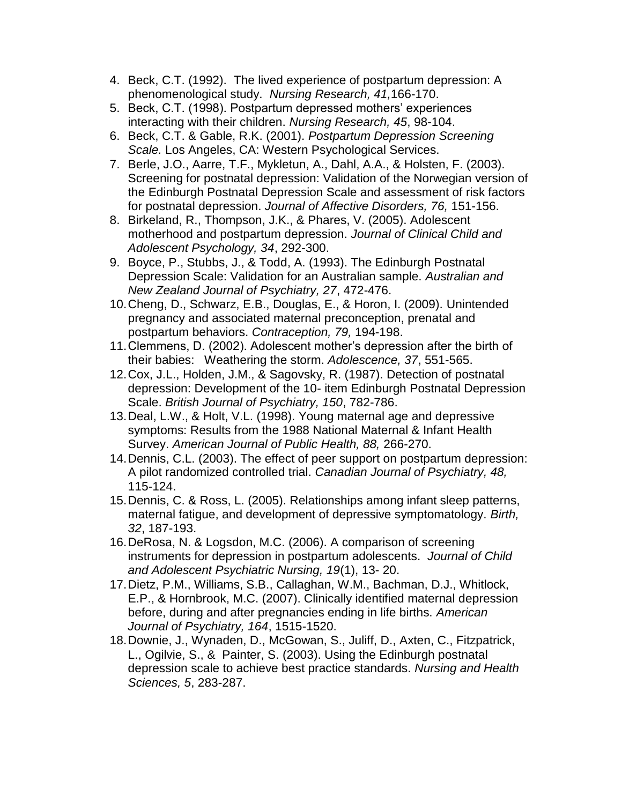- 4. Beck, C.T. (1992). The lived experience of postpartum depression: A phenomenological study. *Nursing Research, 41,*166-170.
- 5. Beck, C.T. (1998). Postpartum depressed mothers' experiences interacting with their children. *Nursing Research, 45*, 98-104.
- 6. Beck, C.T. & Gable, R.K. (2001). *Postpartum Depression Screening Scale.* Los Angeles, CA: Western Psychological Services.
- 7. Berle, J.O., Aarre, T.F., Mykletun, A., Dahl, A.A., & Holsten, F. (2003). Screening for postnatal depression: Validation of the Norwegian version of the Edinburgh Postnatal Depression Scale and assessment of risk factors for postnatal depression. *Journal of Affective Disorders, 76,* 151-156.
- 8. Birkeland, R., Thompson, J.K., & Phares, V. (2005). Adolescent motherhood and postpartum depression. *Journal of Clinical Child and Adolescent Psychology, 34*, 292-300.
- 9. Boyce, P., Stubbs, J., & Todd, A. (1993). The Edinburgh Postnatal Depression Scale: Validation for an Australian sample. *Australian and New Zealand Journal of Psychiatry, 27*, 472-476.
- 10.Cheng, D., Schwarz, E.B., Douglas, E., & Horon, I. (2009). Unintended pregnancy and associated maternal preconception, prenatal and postpartum behaviors. *Contraception, 79,* 194-198.
- 11.Clemmens, D. (2002). Adolescent mother's depression after the birth of their babies: Weathering the storm. *Adolescence, 37*, 551-565.
- 12.Cox, J.L., Holden, J.M., & Sagovsky, R. (1987). Detection of postnatal depression: Development of the 10- item Edinburgh Postnatal Depression Scale. *British Journal of Psychiatry, 150*, 782-786.
- 13.Deal, L.W., & Holt, V.L. (1998). Young maternal age and depressive symptoms: Results from the 1988 National Maternal & Infant Health Survey. *American Journal of Public Health, 88,* 266-270.
- 14.Dennis, C.L. (2003). The effect of peer support on postpartum depression: A pilot randomized controlled trial. *Canadian Journal of Psychiatry, 48,* 115-124.
- 15.Dennis, C. & Ross, L. (2005). Relationships among infant sleep patterns, maternal fatigue, and development of depressive symptomatology. *Birth, 32*, 187-193.
- 16.DeRosa, N. & Logsdon, M.C. (2006). A comparison of screening instruments for depression in postpartum adolescents. *Journal of Child and Adolescent Psychiatric Nursing, 19*(1), 13- 20.
- 17.Dietz, P.M., Williams, S.B., Callaghan, W.M., Bachman, D.J., Whitlock, E.P., & Hornbrook, M.C. (2007). Clinically identified maternal depression before, during and after pregnancies ending in life births. *American Journal of Psychiatry, 164*, 1515-1520.
- 18.Downie, J., Wynaden, D., McGowan, S., Juliff, D., Axten, C., Fitzpatrick, L., Ogilvie, S., & Painter, S. (2003). Using the Edinburgh postnatal depression scale to achieve best practice standards. *Nursing and Health Sciences, 5*, 283-287.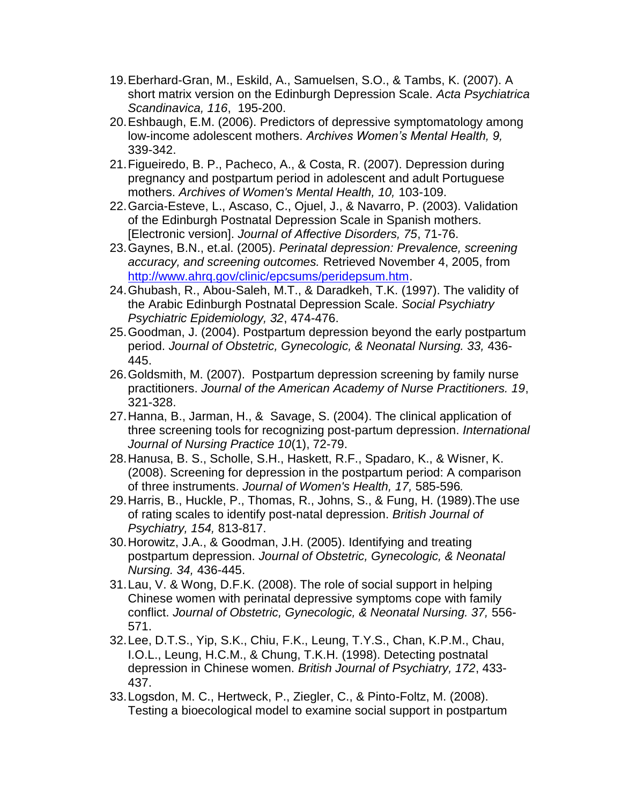- 19.Eberhard-Gran, M., Eskild, A., Samuelsen, S.O., & Tambs, K. (2007). A short matrix version on the Edinburgh Depression Scale. *Acta Psychiatrica Scandinavica, 116*, 195-200.
- 20.Eshbaugh, E.M. (2006). Predictors of depressive symptomatology among low-income adolescent mothers. *Archives Women's Mental Health, 9,* 339-342.
- 21.Figueiredo, B. P., Pacheco, A., & Costa, R. (2007). Depression during pregnancy and postpartum period in adolescent and adult Portuguese mothers. *Archives of Women's Mental Health, 10,* 103-109.
- 22.Garcia-Esteve, L., Ascaso, C., Ojuel, J., & Navarro, P. (2003). Validation of the Edinburgh Postnatal Depression Scale in Spanish mothers. [Electronic version]. *Journal of Affective Disorders, 75*, 71-76.
- 23.Gaynes, B.N., et.al. (2005). *Perinatal depression: Prevalence, screening accuracy, and screening outcomes.* Retrieved November 4, 2005, from [http://www.ahrq.gov/clinic/epcsums/peridepsum.htm.](http://www.ahrq.gov/clinic/epcsums/peridepsum.htm)
- 24.Ghubash, R., Abou-Saleh, M.T., & Daradkeh, T.K. (1997). The validity of the Arabic Edinburgh Postnatal Depression Scale. *Social Psychiatry Psychiatric Epidemiology, 32*, 474-476.
- 25.Goodman, J. (2004). Postpartum depression beyond the early postpartum period. *Journal of Obstetric, Gynecologic, & Neonatal Nursing. 33,* 436- 445.
- 26.Goldsmith, M. (2007). Postpartum depression screening by family nurse practitioners. *Journal of the American Academy of Nurse Practitioners. 19*, 321-328.
- 27.Hanna, B., Jarman, H., & Savage, S. (2004). The clinical application of three screening tools for recognizing post-partum depression. *International Journal of Nursing Practice 10*(1), 72-79.
- 28.Hanusa, B. S., Scholle, S.H., Haskett, R.F., Spadaro, K., & Wisner, K. (2008). Screening for depression in the postpartum period: A comparison of three instruments. *Journal of Women's Health, 17,* 585-596*.*
- 29.Harris, B., Huckle, P., Thomas, R., Johns, S., & Fung, H. (1989).The use of rating scales to identify post-natal depression. *British Journal of Psychiatry, 154,* 813-817.
- 30.Horowitz, J.A., & Goodman, J.H. (2005). Identifying and treating postpartum depression. *Journal of Obstetric, Gynecologic, & Neonatal Nursing. 34,* 436-445.
- 31.Lau, V. & Wong, D.F.K. (2008). The role of social support in helping Chinese women with perinatal depressive symptoms cope with family conflict. *Journal of Obstetric, Gynecologic, & Neonatal Nursing. 37,* 556- 571.
- 32.Lee, D.T.S., Yip, S.K., Chiu, F.K., Leung, T.Y.S., Chan, K.P.M., Chau, I.O.L., Leung, H.C.M., & Chung, T.K.H. (1998). Detecting postnatal depression in Chinese women. *British Journal of Psychiatry, 172*, 433- 437.
- 33.Logsdon, M. C., Hertweck, P., Ziegler, C., & Pinto-Foltz, M. (2008). Testing a bioecological model to examine social support in postpartum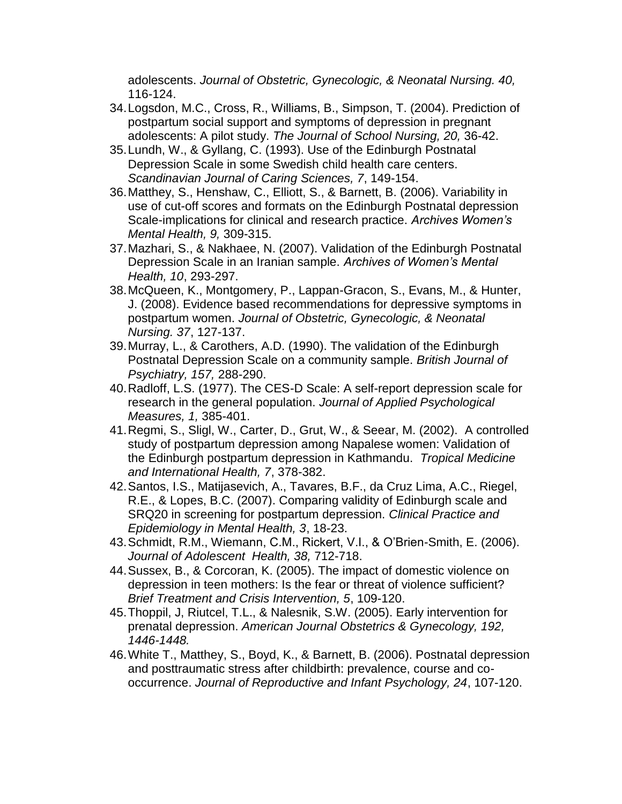adolescents. *Journal of Obstetric, Gynecologic, & Neonatal Nursing. 40,*  116-124.

- 34.Logsdon, M.C., Cross, R., Williams, B., Simpson, T. (2004). Prediction of postpartum social support and symptoms of depression in pregnant adolescents: A pilot study. *The Journal of School Nursing, 20,* 36-42.
- 35.Lundh, W., & Gyllang, C. (1993). Use of the Edinburgh Postnatal Depression Scale in some Swedish child health care centers. *Scandinavian Journal of Caring Sciences, 7*, 149-154.
- 36.Matthey, S., Henshaw, C., Elliott, S., & Barnett, B. (2006). Variability in use of cut-off scores and formats on the Edinburgh Postnatal depression Scale-implications for clinical and research practice. *Archives Women's Mental Health, 9,* 309-315.
- 37.Mazhari, S., & Nakhaee, N. (2007). Validation of the Edinburgh Postnatal Depression Scale in an Iranian sample. *Archives of Women's Mental Health, 10*, 293-297.
- 38.McQueen, K., Montgomery, P., Lappan-Gracon, S., Evans, M., & Hunter, J. (2008). Evidence based recommendations for depressive symptoms in postpartum women. *Journal of Obstetric, Gynecologic, & Neonatal Nursing. 37*, 127-137.
- 39.Murray, L., & Carothers, A.D. (1990). The validation of the Edinburgh Postnatal Depression Scale on a community sample. *British Journal of Psychiatry, 157,* 288-290.
- 40.Radloff, L.S. (1977). The CES-D Scale: A self-report depression scale for research in the general population. *Journal of Applied Psychological Measures, 1,* 385-401.
- 41.Regmi, S., Sligl, W., Carter, D., Grut, W., & Seear, M. (2002). A controlled study of postpartum depression among Napalese women: Validation of the Edinburgh postpartum depression in Kathmandu. *Tropical Medicine and International Health, 7*, 378-382.
- 42.Santos, I.S., Matijasevich, A., Tavares, B.F., da Cruz Lima, A.C., Riegel, R.E., & Lopes, B.C. (2007). Comparing validity of Edinburgh scale and SRQ20 in screening for postpartum depression. *Clinical Practice and Epidemiology in Mental Health, 3*, 18-23.
- 43.Schmidt, R.M., Wiemann, C.M., Rickert, V.I., & O'Brien-Smith, E. (2006). *Journal of Adolescent Health, 38,* 712-718.
- 44.Sussex, B., & Corcoran, K. (2005). The impact of domestic violence on depression in teen mothers: Is the fear or threat of violence sufficient? *Brief Treatment and Crisis Intervention, 5*, 109-120.
- 45.Thoppil, J, Riutcel, T.L., & Nalesnik, S.W. (2005). Early intervention for prenatal depression. *American Journal Obstetrics & Gynecology, 192, 1446-1448.*
- 46.White T., Matthey, S., Boyd, K., & Barnett, B. (2006). Postnatal depression and posttraumatic stress after childbirth: prevalence, course and cooccurrence. *Journal of Reproductive and Infant Psychology, 24*, 107-120.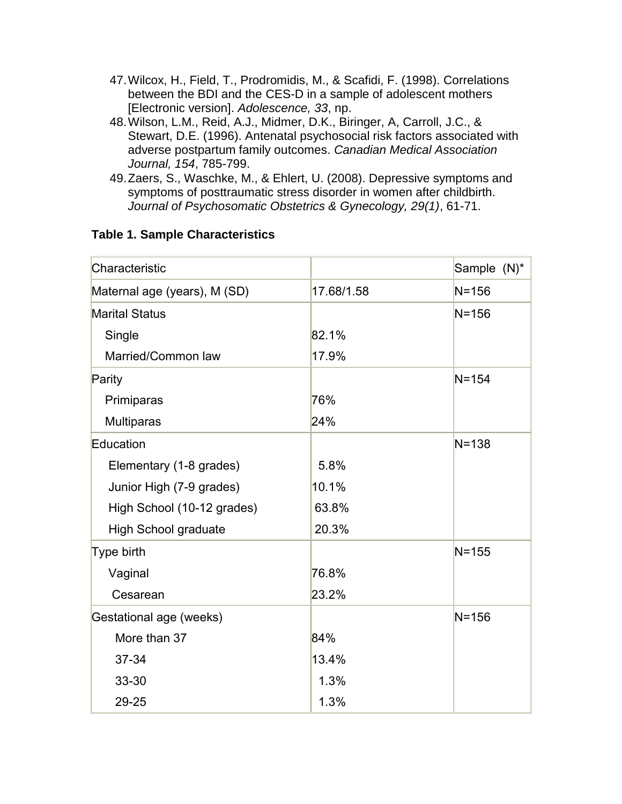- 47.Wilcox, H., Field, T., Prodromidis, M., & Scafidi, F. (1998). Correlations between the BDI and the CES-D in a sample of adolescent mothers [Electronic version]. *Adolescence, 33*, np.
- 48.Wilson, L.M., Reid, A.J., Midmer, D.K., Biringer, A, Carroll, J.C., & Stewart, D.E. (1996). Antenatal psychosocial risk factors associated with adverse postpartum family outcomes. *Canadian Medical Association Journal, 154*, 785-799.
- 49.Zaers, S., Waschke, M., & Ehlert, U. (2008). Depressive symptoms and symptoms of posttraumatic stress disorder in women after childbirth. *Journal of Psychosomatic Obstetrics & Gynecology, 29(1)*, 61-71.

| Characteristic               |            | Sample (N)* |
|------------------------------|------------|-------------|
| Maternal age (years), M (SD) | 17.68/1.58 | $N = 156$   |
| <b>Marital Status</b>        |            | $N = 156$   |
| Single                       | 82.1%      |             |
| Married/Common law           | 17.9%      |             |
| Parity                       |            | $N = 154$   |
| Primiparas                   | 76%        |             |
| <b>Multiparas</b>            | 24%        |             |
| Education                    |            | $N = 138$   |
| Elementary (1-8 grades)      | 5.8%       |             |
| Junior High (7-9 grades)     | 10.1%      |             |
| High School (10-12 grades)   | 63.8%      |             |
| <b>High School graduate</b>  | 20.3%      |             |
| Type birth                   |            | $N = 155$   |
| Vaginal                      | 76.8%      |             |
| Cesarean                     | 23.2%      |             |
| Gestational age (weeks)      |            | $N = 156$   |
| More than 37                 | 84%        |             |
| 37-34                        | 13.4%      |             |
| 33-30                        | 1.3%       |             |
| 29-25                        | 1.3%       |             |

## **Table 1. Sample Characteristics**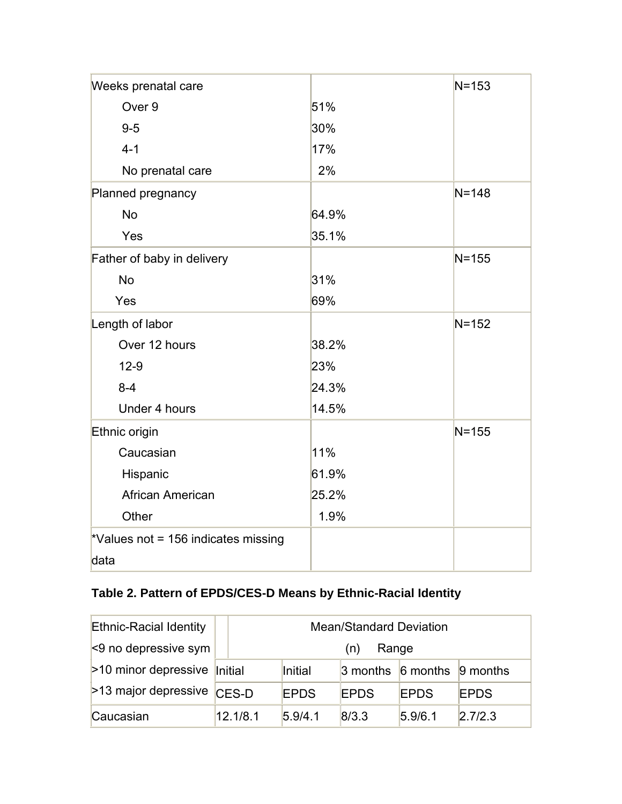| Weeks prenatal care                 |       | $N = 153$ |
|-------------------------------------|-------|-----------|
| Over 9                              | 51%   |           |
| $9-5$                               | 30%   |           |
| $4 - 1$                             | 17%   |           |
| No prenatal care                    | 2%    |           |
| Planned pregnancy                   |       | $N = 148$ |
| <b>No</b>                           | 64.9% |           |
| Yes                                 | 35.1% |           |
| Father of baby in delivery          |       | $N = 155$ |
| <b>No</b>                           | 31%   |           |
| Yes                                 | 69%   |           |
| Length of labor                     |       | $N = 152$ |
| Over 12 hours                       | 38.2% |           |
| $12-9$                              | 23%   |           |
| $8 - 4$                             | 24.3% |           |
| Under 4 hours                       | 14.5% |           |
| Ethnic origin                       |       | $N = 155$ |
| Caucasian                           | 11%   |           |
| Hispanic                            | 61.9% |           |
| African American                    | 25.2% |           |
| Other                               | 1.9%  |           |
| *Values not = 156 indicates missing |       |           |
| data                                |       |           |

# **Table 2. Pattern of EPDS/CES-D Means by Ethnic-Racial Identity**

| <b>Ethnic-Racial Identity</b>             | <b>Mean/Standard Deviation</b> |             |                                              |             |             |
|-------------------------------------------|--------------------------------|-------------|----------------------------------------------|-------------|-------------|
| $\leq$ 9 no depressive sym                | Range<br>(n)                   |             |                                              |             |             |
| $>10$ minor depressive $\parallel$ nitial |                                | Initial     | $\beta$ months $\beta$ months $\beta$ months |             |             |
| >13 major depressive                      | CES-D                          | <b>EPDS</b> | <b>EPDS</b>                                  | <b>EPDS</b> | <b>EPDS</b> |
| Caucasian                                 | 12.1/8.1                       | 5.9/4.1     | 8/3.3                                        | 5.9/6.1     | 2.7/2.3     |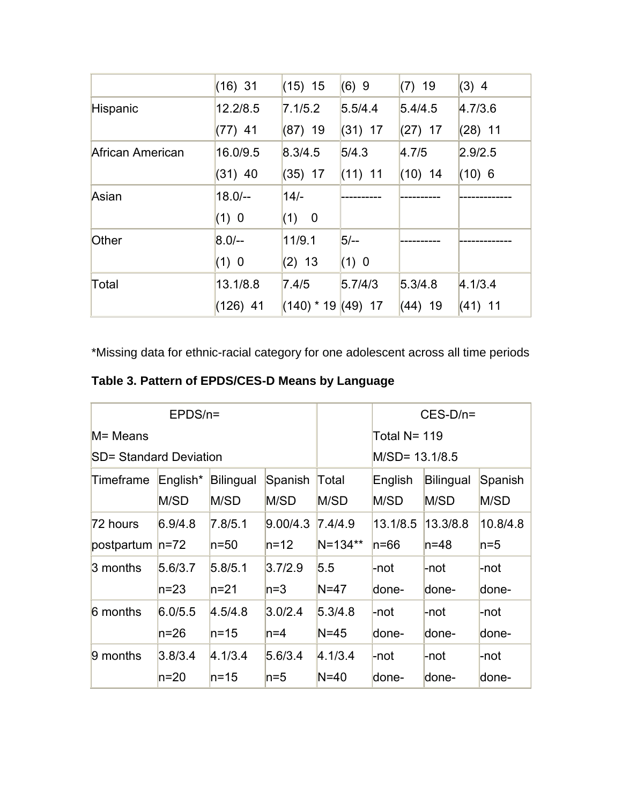|                  | $(16)$ 31  | $(15)$ 15    | (6)9      | $(7)$ 19  | $(3)$ 4   |
|------------------|------------|--------------|-----------|-----------|-----------|
| Hispanic         | 12.2/8.5   | 7.1/5.2      | 5.5/4.4   | 5.4/4.5   | 4.7/3.6   |
|                  | $(77)$ 41  | $(87)$ 19    | $(31)$ 17 | $(27)$ 17 | $(28)$ 11 |
| African American | 16.0/9.5   | 8.3/4.5      | 5/4.3     | 4.7/5     | 2.9/2.5   |
|                  | $(31)$ 40  | $(35)$ 17    | $(11)$ 11 | $(10)$ 14 | $(10)$ 6  |
| Asian            | $18.0/-$   | $14/-$       |           |           |           |
|                  | (1) 0      | (1) 0        |           |           |           |
| Other            | $8.0/-$    | 11/9.1       | $5/-$     |           |           |
|                  | (1) 0      | $(2)$ 13     | (1) 0     |           |           |
| Total            | 13.1/8.8   | 7.4/5        | 5.7/4/3   | 5.3/4.8   | 4.1/3.4   |
|                  | $(126)$ 41 | $(140)$ * 19 | $(49)$ 17 | $(44)$ 19 | $(41)$ 11 |

\*Missing data for ethnic-racial category for one adolescent across all time periods

**Table 3. Pattern of EPDS/CES-D Means by Language**

| $EPDS/n =$                    |          |           |          | $CES-D/n=$     |          |           |          |
|-------------------------------|----------|-----------|----------|----------------|----------|-----------|----------|
| M= Means                      |          |           |          | Total N= 119   |          |           |          |
| <b>SD= Standard Deviation</b> |          |           |          | M/SD= 13.1/8.5 |          |           |          |
| Timeframe                     | English* | Bilingual | Spanish  | Total          | English  | Bilingual | Spanish  |
|                               | M/SD     | M/SD      | M/SD     | M/SD           | M/SD     | M/SD      | M/SD     |
| 72 hours                      | 6.9/4.8  | 7.8/5.1   | 9.00/4.3 | 7.4/4.9        | 13.1/8.5 | 13.3/8.8  | 10.8/4.8 |
| postpartum  n=72              |          | $n=50$    | $n=12$   | $N = 134**$    | $n = 66$ | $n = 48$  | $n=5$    |
| 3 months                      | 5.6/3.7  | 5.8/5.1   | 3.7/2.9  | 5.5            | -not     | -not      | -not     |
|                               | n=23     | $n=21$    | $ln=3$   | $N=47$         | done-    | done-     | done-    |
| 6 months                      | 6.0/5.5  | 4.5/4.8   | 3.0/2.4  | 5.3/4.8        | -not     | -not      | -not     |
|                               | n=26     | $n = 15$  | $n=4$    | $N = 45$       | done-    | done-     | done-    |
| 9 months                      | 3.8/3.4  | 4.1/3.4   | 5.6/3.4  | 4.1/3.4        | -not     | -not      | -not     |
|                               | n=20     | $n = 15$  | $n=5$    | $N=40$         | done-    | done-     | done-    |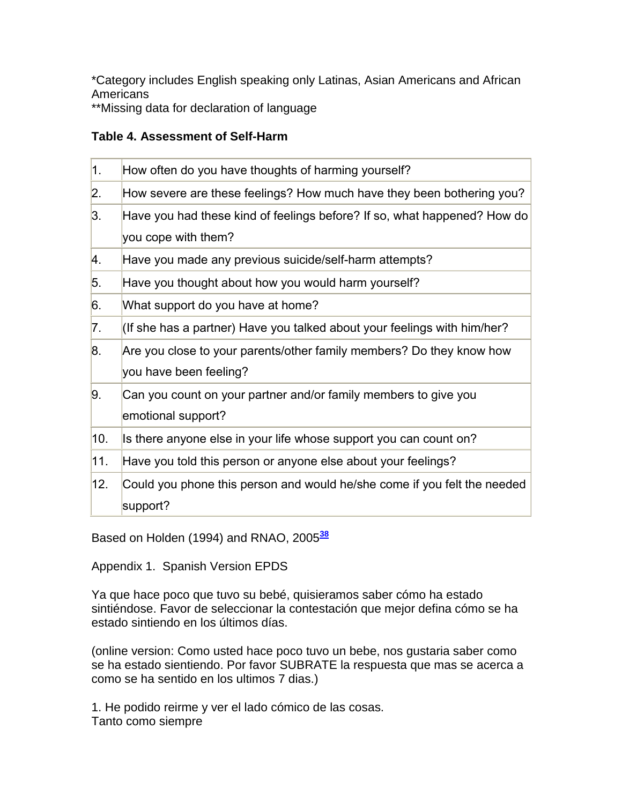\*Category includes English speaking only Latinas, Asian Americans and African **Americans** 

\*\*Missing data for declaration of language

## **Table 4. Assessment of Self-Harm**

| $ 1\rangle$      | How often do you have thoughts of harming yourself?                      |
|------------------|--------------------------------------------------------------------------|
| $\overline{2}$ . | How severe are these feelings? How much have they been bothering you?    |
| 3.               | Have you had these kind of feelings before? If so, what happened? How do |
|                  | you cope with them?                                                      |
| 4.               | Have you made any previous suicide/self-harm attempts?                   |
| 5.               | Have you thought about how you would harm yourself?                      |
| 6.               | What support do you have at home?                                        |
| $\vert 7. \vert$ | (If she has a partner) Have you talked about your feelings with him/her? |
| 8.               | Are you close to your parents/other family members? Do they know how     |
|                  | you have been feeling?                                                   |
| 9.               | Can you count on your partner and/or family members to give you          |
|                  | emotional support?                                                       |
| 10.              | Is there anyone else in your life whose support you can count on?        |
| $ 11\rangle$     | Have you told this person or anyone else about your feelings?            |
| 12.              | Could you phone this person and would he/she come if you felt the needed |
|                  | support?                                                                 |

Based on Holden (1994) and RNAO, 2005**[38](http://snrs.org/publications/SOJNR_articles2/n)**

Appendix 1. Spanish Version EPDS

Ya que hace poco que tuvo su bebé, quisieramos saber cómo ha estado sintiéndose. Favor de seleccionar la contestación que mejor defina cómo se ha estado sintiendo en los últimos días.

(online version: Como usted hace poco tuvo un bebe, nos gustaria saber como se ha estado sientiendo. Por favor SUBRATE la respuesta que mas se acerca a como se ha sentido en los ultimos 7 dias.)

1. He podido reirme y ver el lado cómico de las cosas. Tanto como siempre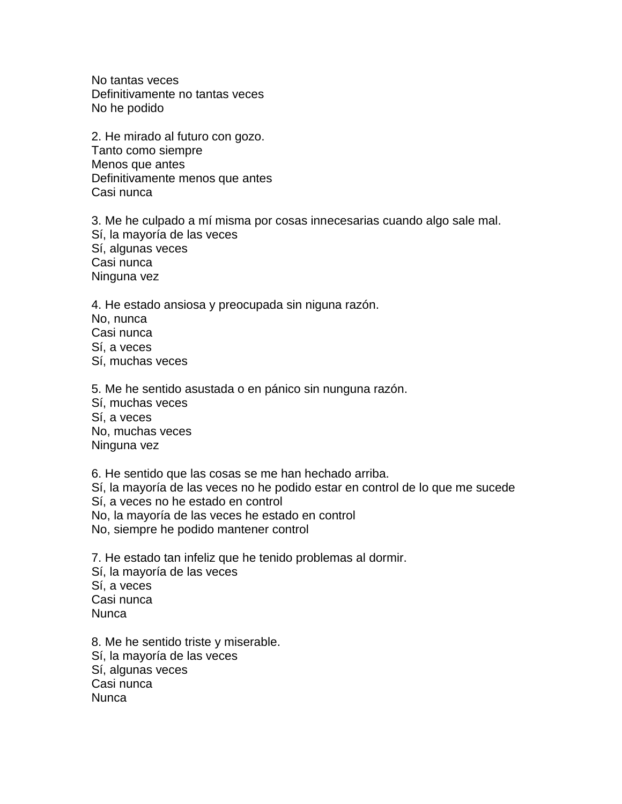No tantas veces Definitivamente no tantas veces No he podido

2. He mirado al futuro con gozo. Tanto como siempre Menos que antes Definitivamente menos que antes Casi nunca

3. Me he culpado a mí misma por cosas innecesarias cuando algo sale mal. Sí, la mayoría de las veces Sí, algunas veces Casi nunca Ninguna vez

4. He estado ansiosa y preocupada sin niguna razón. No, nunca Casi nunca Sí, a veces Sí, muchas veces

5. Me he sentido asustada o en pánico sin nunguna razón. Sí, muchas veces Sí, a veces No, muchas veces Ninguna vez

6. He sentido que las cosas se me han hechado arriba. Sí, la mayoría de las veces no he podido estar en control de lo que me sucede Sí, a veces no he estado en control No, la mayoría de las veces he estado en control No, siempre he podido mantener control

7. He estado tan infeliz que he tenido problemas al dormir. Sí, la mayoría de las veces Sí, a veces Casi nunca Nunca

8. Me he sentido triste y miserable. Sí, la mayoría de las veces Sí, algunas veces Casi nunca Nunca